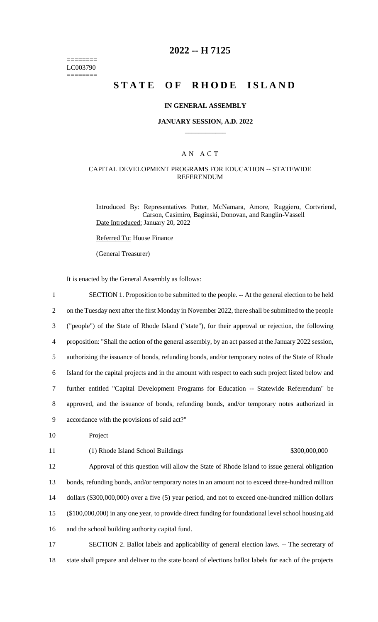======== LC003790  $=$ 

# **2022 -- H 7125**

# **STATE OF RHODE ISLAND**

### **IN GENERAL ASSEMBLY**

# **JANUARY SESSION, A.D. 2022 \_\_\_\_\_\_\_\_\_\_\_\_**

# A N A C T

# CAPITAL DEVELOPMENT PROGRAMS FOR EDUCATION -- STATEWIDE REFERENDUM

Introduced By: Representatives Potter, McNamara, Amore, Ruggiero, Cortvriend, Carson, Casimiro, Baginski, Donovan, and Ranglin-Vassell Date Introduced: January 20, 2022

Referred To: House Finance

(General Treasurer)

It is enacted by the General Assembly as follows:

| $\mathbf{1}$   | SECTION 1. Proposition to be submitted to the people. -- At the general election to be held           |
|----------------|-------------------------------------------------------------------------------------------------------|
| $\overline{2}$ | on the Tuesday next after the first Monday in November 2022, there shall be submitted to the people   |
| 3              | ("people") of the State of Rhode Island ("state"), for their approval or rejection, the following     |
| 4              | proposition: "Shall the action of the general assembly, by an act passed at the January 2022 session, |
| 5              | authorizing the issuance of bonds, refunding bonds, and/or temporary notes of the State of Rhode      |
| 6              | Island for the capital projects and in the amount with respect to each such project listed below and  |
| 7              | further entitled "Capital Development Programs for Education -- Statewide Referendum" be              |
| $8\,$          | approved, and the issuance of bonds, refunding bonds, and/or temporary notes authorized in            |
| 9              | accordance with the provisions of said act?"                                                          |
| 10             | Project                                                                                               |
| 11             | \$300,000,000<br>(1) Rhode Island School Buildings                                                    |
| 12             | Approval of this question will allow the State of Rhode Island to issue general obligation            |
| 13             | bonds, refunding bonds, and/or temporary notes in an amount not to exceed three-hundred million       |
| 14             | dollars (\$300,000,000) over a five (5) year period, and not to exceed one-hundred million dollars    |
| 15             | (\$100,000,000) in any one year, to provide direct funding for foundational level school housing aid  |
| 16             | and the school building authority capital fund.                                                       |
| 17             | SECTION 2. Ballot labels and applicability of general election laws. -- The secretary of              |

18 state shall prepare and deliver to the state board of elections ballot labels for each of the projects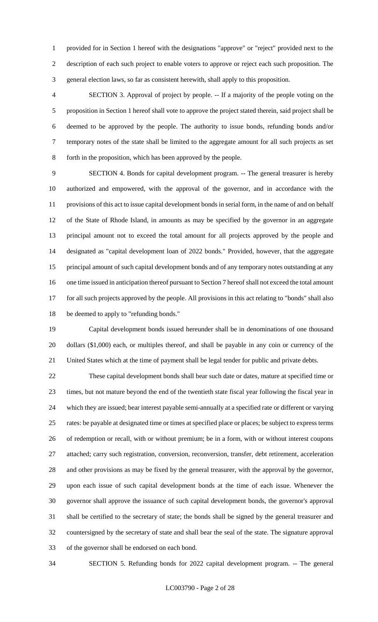provided for in Section 1 hereof with the designations "approve" or "reject" provided next to the description of each such project to enable voters to approve or reject each such proposition. The general election laws, so far as consistent herewith, shall apply to this proposition.

 SECTION 3. Approval of project by people. -- If a majority of the people voting on the proposition in Section 1 hereof shall vote to approve the project stated therein, said project shall be deemed to be approved by the people. The authority to issue bonds, refunding bonds and/or temporary notes of the state shall be limited to the aggregate amount for all such projects as set forth in the proposition, which has been approved by the people.

 SECTION 4. Bonds for capital development program. -- The general treasurer is hereby authorized and empowered, with the approval of the governor, and in accordance with the provisions of this act to issue capital development bonds in serial form, in the name of and on behalf of the State of Rhode Island, in amounts as may be specified by the governor in an aggregate principal amount not to exceed the total amount for all projects approved by the people and designated as "capital development loan of 2022 bonds." Provided, however, that the aggregate principal amount of such capital development bonds and of any temporary notes outstanding at any one time issued in anticipation thereof pursuant to Section 7 hereof shall not exceed the total amount for all such projects approved by the people. All provisions in this act relating to "bonds" shall also be deemed to apply to "refunding bonds."

 Capital development bonds issued hereunder shall be in denominations of one thousand dollars (\$1,000) each, or multiples thereof, and shall be payable in any coin or currency of the United States which at the time of payment shall be legal tender for public and private debts.

 These capital development bonds shall bear such date or dates, mature at specified time or times, but not mature beyond the end of the twentieth state fiscal year following the fiscal year in which they are issued; bear interest payable semi-annually at a specified rate or different or varying rates: be payable at designated time or times at specified place or places; be subject to express terms of redemption or recall, with or without premium; be in a form, with or without interest coupons attached; carry such registration, conversion, reconversion, transfer, debt retirement, acceleration and other provisions as may be fixed by the general treasurer, with the approval by the governor, upon each issue of such capital development bonds at the time of each issue. Whenever the governor shall approve the issuance of such capital development bonds, the governor's approval shall be certified to the secretary of state; the bonds shall be signed by the general treasurer and countersigned by the secretary of state and shall bear the seal of the state. The signature approval of the governor shall be endorsed on each bond.

SECTION 5. Refunding bonds for 2022 capital development program. -- The general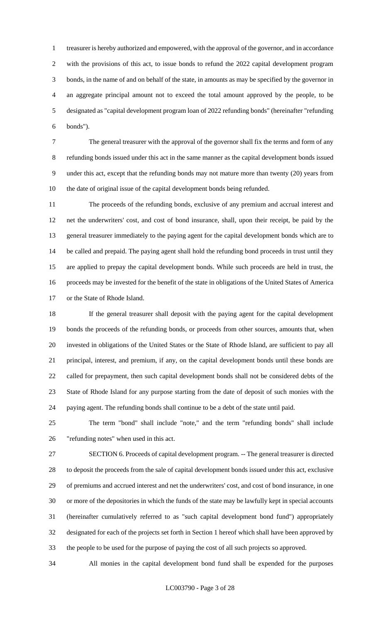treasurer is hereby authorized and empowered, with the approval of the governor, and in accordance with the provisions of this act, to issue bonds to refund the 2022 capital development program bonds, in the name of and on behalf of the state, in amounts as may be specified by the governor in an aggregate principal amount not to exceed the total amount approved by the people, to be designated as "capital development program loan of 2022 refunding bonds" (hereinafter "refunding bonds").

 The general treasurer with the approval of the governor shall fix the terms and form of any refunding bonds issued under this act in the same manner as the capital development bonds issued under this act, except that the refunding bonds may not mature more than twenty (20) years from the date of original issue of the capital development bonds being refunded.

 The proceeds of the refunding bonds, exclusive of any premium and accrual interest and net the underwriters' cost, and cost of bond insurance, shall, upon their receipt, be paid by the general treasurer immediately to the paying agent for the capital development bonds which are to be called and prepaid. The paying agent shall hold the refunding bond proceeds in trust until they are applied to prepay the capital development bonds. While such proceeds are held in trust, the proceeds may be invested for the benefit of the state in obligations of the United States of America or the State of Rhode Island.

 If the general treasurer shall deposit with the paying agent for the capital development bonds the proceeds of the refunding bonds, or proceeds from other sources, amounts that, when invested in obligations of the United States or the State of Rhode Island, are sufficient to pay all principal, interest, and premium, if any, on the capital development bonds until these bonds are called for prepayment, then such capital development bonds shall not be considered debts of the State of Rhode Island for any purpose starting from the date of deposit of such monies with the paying agent. The refunding bonds shall continue to be a debt of the state until paid.

 The term "bond" shall include "note," and the term "refunding bonds" shall include "refunding notes" when used in this act.

 SECTION 6. Proceeds of capital development program. -- The general treasurer is directed to deposit the proceeds from the sale of capital development bonds issued under this act, exclusive of premiums and accrued interest and net the underwriters' cost, and cost of bond insurance, in one or more of the depositories in which the funds of the state may be lawfully kept in special accounts (hereinafter cumulatively referred to as "such capital development bond fund") appropriately designated for each of the projects set forth in Section 1 hereof which shall have been approved by the people to be used for the purpose of paying the cost of all such projects so approved.

All monies in the capital development bond fund shall be expended for the purposes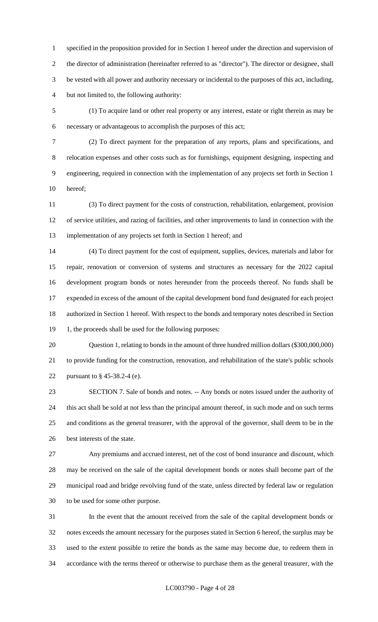specified in the proposition provided for in Section 1 hereof under the direction and supervision of the director of administration (hereinafter referred to as "director"). The director or designee, shall be vested with all power and authority necessary or incidental to the purposes of this act, including, but not limited to, the following authority:

 (1) To acquire land or other real property or any interest, estate or right therein as may be necessary or advantageous to accomplish the purposes of this act;

 (2) To direct payment for the preparation of any reports, plans and specifications, and relocation expenses and other costs such as for furnishings, equipment designing, inspecting and engineering, required in connection with the implementation of any projects set forth in Section 1 hereof;

 (3) To direct payment for the costs of construction, rehabilitation, enlargement, provision of service utilities, and razing of facilities, and other improvements to land in connection with the implementation of any projects set forth in Section 1 hereof; and

 (4) To direct payment for the cost of equipment, supplies, devices, materials and labor for repair, renovation or conversion of systems and structures as necessary for the 2022 capital development program bonds or notes hereunder from the proceeds thereof. No funds shall be expended in excess of the amount of the capital development bond fund designated for each project authorized in Section 1 hereof. With respect to the bonds and temporary notes described in Section 19 1, the proceeds shall be used for the following purposes:

 Question 1, relating to bonds in the amount of three hundred million dollars (\$300,000,000) to provide funding for the construction, renovation, and rehabilitation of the state's public schools pursuant to § 45-38.2-4 (e).

 SECTION 7. Sale of bonds and notes. -- Any bonds or notes issued under the authority of this act shall be sold at not less than the principal amount thereof, in such mode and on such terms and conditions as the general treasurer, with the approval of the governor, shall deem to be in the best interests of the state.

 Any premiums and accrued interest, net of the cost of bond insurance and discount, which may be received on the sale of the capital development bonds or notes shall become part of the municipal road and bridge revolving fund of the state, unless directed by federal law or regulation to be used for some other purpose.

 In the event that the amount received from the sale of the capital development bonds or notes exceeds the amount necessary for the purposes stated in Section 6 hereof, the surplus may be used to the extent possible to retire the bonds as the same may become due, to redeem them in accordance with the terms thereof or otherwise to purchase them as the general treasurer, with the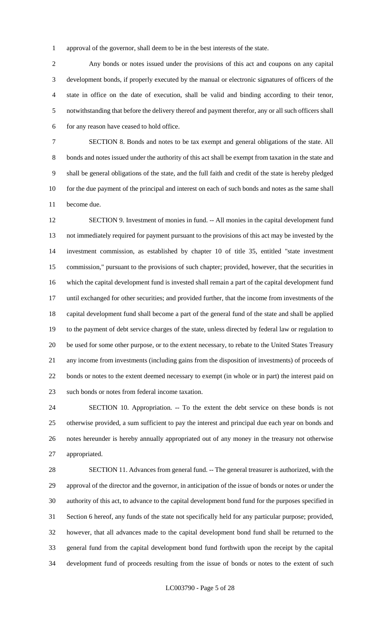approval of the governor, shall deem to be in the best interests of the state.

 Any bonds or notes issued under the provisions of this act and coupons on any capital development bonds, if properly executed by the manual or electronic signatures of officers of the state in office on the date of execution, shall be valid and binding according to their tenor, notwithstanding that before the delivery thereof and payment therefor, any or all such officers shall for any reason have ceased to hold office.

 SECTION 8. Bonds and notes to be tax exempt and general obligations of the state. All bonds and notes issued under the authority of this act shall be exempt from taxation in the state and shall be general obligations of the state, and the full faith and credit of the state is hereby pledged for the due payment of the principal and interest on each of such bonds and notes as the same shall become due.

 SECTION 9. Investment of monies in fund. -- All monies in the capital development fund not immediately required for payment pursuant to the provisions of this act may be invested by the investment commission, as established by chapter 10 of title 35, entitled "state investment commission," pursuant to the provisions of such chapter; provided, however, that the securities in which the capital development fund is invested shall remain a part of the capital development fund until exchanged for other securities; and provided further, that the income from investments of the capital development fund shall become a part of the general fund of the state and shall be applied to the payment of debt service charges of the state, unless directed by federal law or regulation to be used for some other purpose, or to the extent necessary, to rebate to the United States Treasury any income from investments (including gains from the disposition of investments) of proceeds of bonds or notes to the extent deemed necessary to exempt (in whole or in part) the interest paid on such bonds or notes from federal income taxation.

 SECTION 10. Appropriation. -- To the extent the debt service on these bonds is not otherwise provided, a sum sufficient to pay the interest and principal due each year on bonds and notes hereunder is hereby annually appropriated out of any money in the treasury not otherwise appropriated.

 SECTION 11. Advances from general fund. -- The general treasurer is authorized, with the approval of the director and the governor, in anticipation of the issue of bonds or notes or under the authority of this act, to advance to the capital development bond fund for the purposes specified in Section 6 hereof, any funds of the state not specifically held for any particular purpose; provided, however, that all advances made to the capital development bond fund shall be returned to the general fund from the capital development bond fund forthwith upon the receipt by the capital development fund of proceeds resulting from the issue of bonds or notes to the extent of such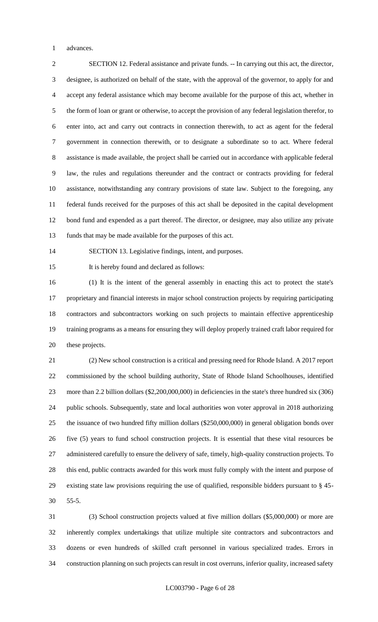advances.

 SECTION 12. Federal assistance and private funds. -- In carrying out this act, the director, designee, is authorized on behalf of the state, with the approval of the governor, to apply for and accept any federal assistance which may become available for the purpose of this act, whether in the form of loan or grant or otherwise, to accept the provision of any federal legislation therefor, to enter into, act and carry out contracts in connection therewith, to act as agent for the federal government in connection therewith, or to designate a subordinate so to act. Where federal assistance is made available, the project shall be carried out in accordance with applicable federal law, the rules and regulations thereunder and the contract or contracts providing for federal assistance, notwithstanding any contrary provisions of state law. Subject to the foregoing, any federal funds received for the purposes of this act shall be deposited in the capital development bond fund and expended as a part thereof. The director, or designee, may also utilize any private funds that may be made available for the purposes of this act.

SECTION 13. Legislative findings, intent, and purposes.

15 It is hereby found and declared as follows:

 (1) It is the intent of the general assembly in enacting this act to protect the state's proprietary and financial interests in major school construction projects by requiring participating contractors and subcontractors working on such projects to maintain effective apprenticeship training programs as a means for ensuring they will deploy properly trained craft labor required for these projects.

 (2) New school construction is a critical and pressing need for Rhode Island. A 2017 report commissioned by the school building authority, State of Rhode Island Schoolhouses, identified more than 2.2 billion dollars (\$2,200,000,000) in deficiencies in the state's three hundred six (306) public schools. Subsequently, state and local authorities won voter approval in 2018 authorizing the issuance of two hundred fifty million dollars (\$250,000,000) in general obligation bonds over five (5) years to fund school construction projects. It is essential that these vital resources be administered carefully to ensure the delivery of safe, timely, high-quality construction projects. To this end, public contracts awarded for this work must fully comply with the intent and purpose of existing state law provisions requiring the use of qualified, responsible bidders pursuant to § 45- 55-5.

 (3) School construction projects valued at five million dollars (\$5,000,000) or more are inherently complex undertakings that utilize multiple site contractors and subcontractors and dozens or even hundreds of skilled craft personnel in various specialized trades. Errors in construction planning on such projects can result in cost overruns, inferior quality, increased safety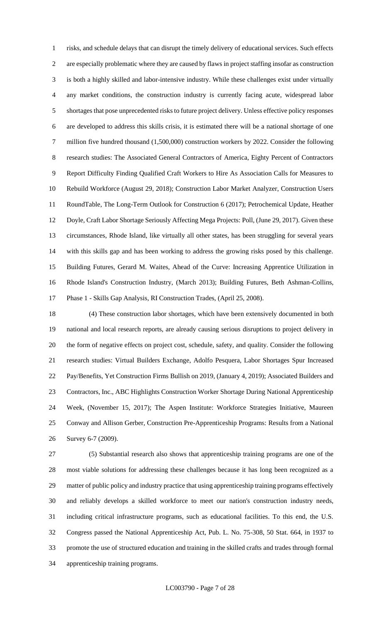risks, and schedule delays that can disrupt the timely delivery of educational services. Such effects are especially problematic where they are caused by flaws in project staffing insofar as construction is both a highly skilled and labor-intensive industry. While these challenges exist under virtually any market conditions, the construction industry is currently facing acute, widespread labor shortages that pose unprecedented risks to future project delivery. Unless effective policy responses are developed to address this skills crisis, it is estimated there will be a national shortage of one million five hundred thousand (1,500,000) construction workers by 2022. Consider the following research studies: The Associated General Contractors of America, Eighty Percent of Contractors Report Difficulty Finding Qualified Craft Workers to Hire As Association Calls for Measures to Rebuild Workforce (August 29, 2018); Construction Labor Market Analyzer, Construction Users RoundTable, The Long-Term Outlook for Construction 6 (2017); Petrochemical Update, Heather Doyle, Craft Labor Shortage Seriously Affecting Mega Projects: Poll, (June 29, 2017). Given these circumstances, Rhode Island, like virtually all other states, has been struggling for several years with this skills gap and has been working to address the growing risks posed by this challenge. Building Futures, Gerard M. Waites, Ahead of the Curve: Increasing Apprentice Utilization in Rhode Island's Construction Industry, (March 2013); Building Futures, Beth Ashman-Collins, Phase 1 - Skills Gap Analysis, RI Construction Trades, (April 25, 2008).

 (4) These construction labor shortages, which have been extensively documented in both national and local research reports, are already causing serious disruptions to project delivery in the form of negative effects on project cost, schedule, safety, and quality. Consider the following research studies: Virtual Builders Exchange, Adolfo Pesquera, Labor Shortages Spur Increased Pay/Benefits, Yet Construction Firms Bullish on 2019, (January 4, 2019); Associated Builders and Contractors, Inc., ABC Highlights Construction Worker Shortage During National Apprenticeship Week, (November 15, 2017); The Aspen Institute: Workforce Strategies Initiative, Maureen Conway and Allison Gerber, Construction Pre-Apprenticeship Programs: Results from a National Survey 6-7 (2009).

 (5) Substantial research also shows that apprenticeship training programs are one of the most viable solutions for addressing these challenges because it has long been recognized as a matter of public policy and industry practice that using apprenticeship training programs effectively and reliably develops a skilled workforce to meet our nation's construction industry needs, including critical infrastructure programs, such as educational facilities. To this end, the U.S. Congress passed the National Apprenticeship Act, Pub. L. No. 75-308, 50 Stat. 664, in 1937 to promote the use of structured education and training in the skilled crafts and trades through formal apprenticeship training programs.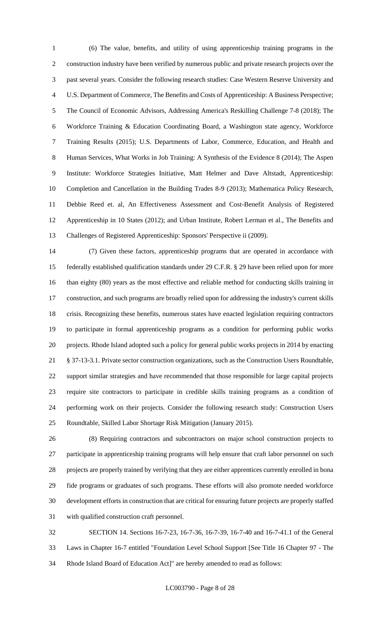(6) The value, benefits, and utility of using apprenticeship training programs in the construction industry have been verified by numerous public and private research projects over the past several years. Consider the following research studies: Case Western Reserve University and U.S. Department of Commerce, The Benefits and Costs of Apprenticeship: A Business Perspective; The Council of Economic Advisors, Addressing America's Reskilling Challenge 7-8 (2018); The Workforce Training & Education Coordinating Board, a Washington state agency, Workforce Training Results (2015); U.S. Departments of Labor, Commerce, Education, and Health and Human Services, What Works in Job Training: A Synthesis of the Evidence 8 (2014); The Aspen Institute: Workforce Strategies Initiative, Matt Helmer and Dave Altstadt, Apprenticeship: Completion and Cancellation in the Building Trades 8-9 (2013); Mathematica Policy Research, Debbie Reed et. al, An Effectiveness Assessment and Cost-Benefit Analysis of Registered Apprenticeship in 10 States (2012); and Urban Institute, Robert Lerman et al., The Benefits and Challenges of Registered Apprenticeship: Sponsors' Perspective ii (2009).

 (7) Given these factors, apprenticeship programs that are operated in accordance with federally established qualification standards under 29 C.F.R. § 29 have been relied upon for more than eighty (80) years as the most effective and reliable method for conducting skills training in construction, and such programs are broadly relied upon for addressing the industry's current skills crisis. Recognizing these benefits, numerous states have enacted legislation requiring contractors to participate in formal apprenticeship programs as a condition for performing public works projects. Rhode Island adopted such a policy for general public works projects in 2014 by enacting § 37-13-3.1. Private sector construction organizations, such as the Construction Users Roundtable, support similar strategies and have recommended that those responsible for large capital projects require site contractors to participate in credible skills training programs as a condition of performing work on their projects. Consider the following research study: Construction Users Roundtable, Skilled Labor Shortage Risk Mitigation (January 2015).

 (8) Requiring contractors and subcontractors on major school construction projects to participate in apprenticeship training programs will help ensure that craft labor personnel on such projects are properly trained by verifying that they are either apprentices currently enrolled in bona fide programs or graduates of such programs. These efforts will also promote needed workforce development efforts in construction that are critical for ensuring future projects are properly staffed with qualified construction craft personnel.

 SECTION 14. Sections 16-7-23, 16-7-36, 16-7-39, 16-7-40 and 16-7-41.1 of the General Laws in Chapter 16-7 entitled "Foundation Level School Support [See Title 16 Chapter 97 - The Rhode Island Board of Education Act]" are hereby amended to read as follows: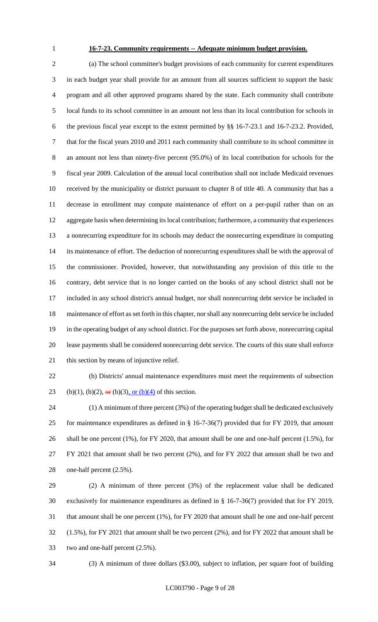# **16-7-23. Community requirements -- Adequate minimum budget provision.**

 (a) The school committee's budget provisions of each community for current expenditures in each budget year shall provide for an amount from all sources sufficient to support the basic program and all other approved programs shared by the state. Each community shall contribute local funds to its school committee in an amount not less than its local contribution for schools in the previous fiscal year except to the extent permitted by §§ 16-7-23.1 and 16-7-23.2. Provided, that for the fiscal years 2010 and 2011 each community shall contribute to its school committee in an amount not less than ninety-five percent (95.0%) of its local contribution for schools for the fiscal year 2009. Calculation of the annual local contribution shall not include Medicaid revenues received by the municipality or district pursuant to chapter 8 of title 40. A community that has a decrease in enrollment may compute maintenance of effort on a per-pupil rather than on an aggregate basis when determining its local contribution; furthermore, a community that experiences a nonrecurring expenditure for its schools may deduct the nonrecurring expenditure in computing its maintenance of effort. The deduction of nonrecurring expenditures shall be with the approval of the commissioner. Provided, however, that notwithstanding any provision of this title to the contrary, debt service that is no longer carried on the books of any school district shall not be included in any school district's annual budget, nor shall nonrecurring debt service be included in maintenance of effort as set forth in this chapter, nor shall any nonrecurring debt service be included in the operating budget of any school district. For the purposes set forth above, nonrecurring capital lease payments shall be considered nonrecurring debt service. The courts of this state shall enforce this section by means of injunctive relief.

 (b) Districts' annual maintenance expenditures must meet the requirements of subsection 23 (b)(1), (b)(2),  $\Theta$ **F** (b)(3), or (b)(4) of this section.

 (1) A minimum of three percent (3%) of the operating budget shall be dedicated exclusively for maintenance expenditures as defined in § 16-7-36(7) provided that for FY 2019, that amount 26 shall be one percent (1%), for FY 2020, that amount shall be one and one-half percent (1.5%), for FY 2021 that amount shall be two percent (2%), and for FY 2022 that amount shall be two and one-half percent (2.5%).

 (2) A minimum of three percent (3%) of the replacement value shall be dedicated exclusively for maintenance expenditures as defined in § 16-7-36(7) provided that for FY 2019, that amount shall be one percent (1%), for FY 2020 that amount shall be one and one-half percent (1.5%), for FY 2021 that amount shall be two percent (2%), and for FY 2022 that amount shall be two and one-half percent (2.5%).

(3) A minimum of three dollars (\$3.00), subject to inflation, per square foot of building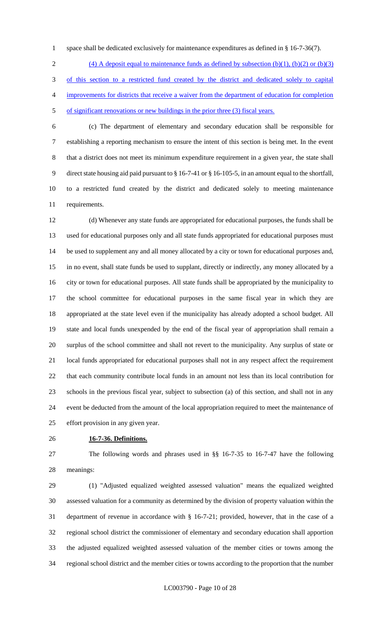1 space shall be dedicated exclusively for maintenance expenditures as defined in § 16-7-36(7).

2 (4) A deposit equal to maintenance funds as defined by subsection  $(b)(1)$ ,  $(b)(2)$  or  $(b)(3)$  of this section to a restricted fund created by the district and dedicated solely to capital improvements for districts that receive a waiver from the department of education for completion of significant renovations or new buildings in the prior three (3) fiscal years.

 (c) The department of elementary and secondary education shall be responsible for establishing a reporting mechanism to ensure the intent of this section is being met. In the event that a district does not meet its minimum expenditure requirement in a given year, the state shall direct state housing aid paid pursuant to § 16-7-41 or § 16-105-5, in an amount equal to the shortfall, to a restricted fund created by the district and dedicated solely to meeting maintenance requirements.

 (d) Whenever any state funds are appropriated for educational purposes, the funds shall be used for educational purposes only and all state funds appropriated for educational purposes must be used to supplement any and all money allocated by a city or town for educational purposes and, in no event, shall state funds be used to supplant, directly or indirectly, any money allocated by a city or town for educational purposes. All state funds shall be appropriated by the municipality to the school committee for educational purposes in the same fiscal year in which they are appropriated at the state level even if the municipality has already adopted a school budget. All state and local funds unexpended by the end of the fiscal year of appropriation shall remain a surplus of the school committee and shall not revert to the municipality. Any surplus of state or local funds appropriated for educational purposes shall not in any respect affect the requirement that each community contribute local funds in an amount not less than its local contribution for schools in the previous fiscal year, subject to subsection (a) of this section, and shall not in any event be deducted from the amount of the local appropriation required to meet the maintenance of effort provision in any given year.

#### **16-7-36. Definitions.**

 The following words and phrases used in §§ 16-7-35 to 16-7-47 have the following meanings:

 (1) "Adjusted equalized weighted assessed valuation" means the equalized weighted assessed valuation for a community as determined by the division of property valuation within the department of revenue in accordance with § 16-7-21; provided, however, that in the case of a regional school district the commissioner of elementary and secondary education shall apportion the adjusted equalized weighted assessed valuation of the member cities or towns among the regional school district and the member cities or towns according to the proportion that the number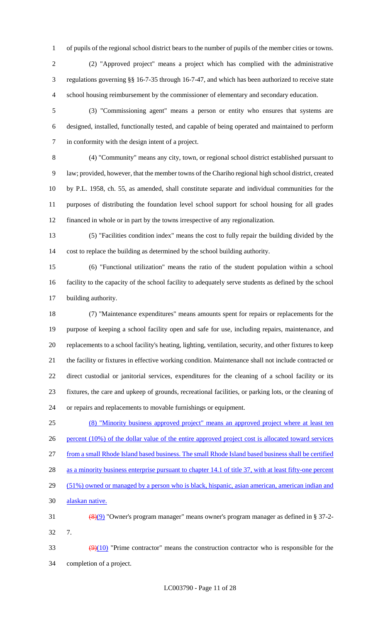of pupils of the regional school district bears to the number of pupils of the member cities or towns.

 (2) "Approved project" means a project which has complied with the administrative regulations governing §§ 16-7-35 through 16-7-47, and which has been authorized to receive state school housing reimbursement by the commissioner of elementary and secondary education.

 (3) "Commissioning agent" means a person or entity who ensures that systems are designed, installed, functionally tested, and capable of being operated and maintained to perform in conformity with the design intent of a project.

 (4) "Community" means any city, town, or regional school district established pursuant to law; provided, however, that the member towns of the Chariho regional high school district, created by P.L. 1958, ch. 55, as amended, shall constitute separate and individual communities for the purposes of distributing the foundation level school support for school housing for all grades financed in whole or in part by the towns irrespective of any regionalization.

 (5) "Facilities condition index" means the cost to fully repair the building divided by the cost to replace the building as determined by the school building authority.

 (6) "Functional utilization" means the ratio of the student population within a school facility to the capacity of the school facility to adequately serve students as defined by the school building authority.

 (7) "Maintenance expenditures" means amounts spent for repairs or replacements for the purpose of keeping a school facility open and safe for use, including repairs, maintenance, and replacements to a school facility's heating, lighting, ventilation, security, and other fixtures to keep the facility or fixtures in effective working condition. Maintenance shall not include contracted or direct custodial or janitorial services, expenditures for the cleaning of a school facility or its fixtures, the care and upkeep of grounds, recreational facilities, or parking lots, or the cleaning of or repairs and replacements to movable furnishings or equipment.

 (8) "Minority business approved project" means an approved project where at least ten 26 percent (10%) of the dollar value of the entire approved project cost is allocated toward services from a small Rhode Island based business. The small Rhode Island based business shall be certified 28 as a minority business enterprise pursuant to chapter 14.1 of title 37, with at least fifty-one percent 29 (51%) owned or managed by a person who is black, hispanic, asian american, american indian and alaskan native. (8)(9) "Owner's program manager" means owner's program manager as defined in § 37-2- 7.

 $\left(\frac{9}{10}\right)$  "Prime contractor" means the construction contractor who is responsible for the completion of a project.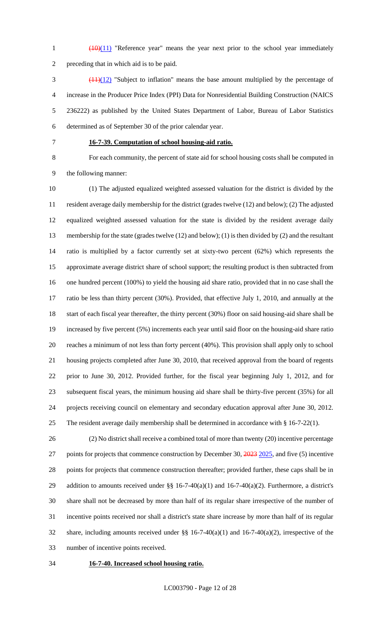1 (10)(11) "Reference year" means the year next prior to the school year immediately preceding that in which aid is to be paid.

 (11)(12) "Subject to inflation" means the base amount multiplied by the percentage of increase in the Producer Price Index (PPI) Data for Nonresidential Building Construction (NAICS 236222) as published by the United States Department of Labor, Bureau of Labor Statistics determined as of September 30 of the prior calendar year.

# **16-7-39. Computation of school housing-aid ratio.**

 For each community, the percent of state aid for school housing costs shall be computed in the following manner:

 (1) The adjusted equalized weighted assessed valuation for the district is divided by the resident average daily membership for the district (grades twelve (12) and below); (2) The adjusted equalized weighted assessed valuation for the state is divided by the resident average daily membership for the state (grades twelve (12) and below); (1) is then divided by (2) and the resultant ratio is multiplied by a factor currently set at sixty-two percent (62%) which represents the approximate average district share of school support; the resulting product is then subtracted from one hundred percent (100%) to yield the housing aid share ratio, provided that in no case shall the ratio be less than thirty percent (30%). Provided, that effective July 1, 2010, and annually at the start of each fiscal year thereafter, the thirty percent (30%) floor on said housing-aid share shall be increased by five percent (5%) increments each year until said floor on the housing-aid share ratio reaches a minimum of not less than forty percent (40%). This provision shall apply only to school housing projects completed after June 30, 2010, that received approval from the board of regents prior to June 30, 2012. Provided further, for the fiscal year beginning July 1, 2012, and for subsequent fiscal years, the minimum housing aid share shall be thirty-five percent (35%) for all projects receiving council on elementary and secondary education approval after June 30, 2012. The resident average daily membership shall be determined in accordance with § 16-7-22(1).

 (2) No district shall receive a combined total of more than twenty (20) incentive percentage 27 points for projects that commence construction by December 30, 2023 2025, and five (5) incentive points for projects that commence construction thereafter; provided further, these caps shall be in 29 addition to amounts received under §§ 16-7-40(a)(1) and 16-7-40(a)(2). Furthermore, a district's share shall not be decreased by more than half of its regular share irrespective of the number of incentive points received nor shall a district's state share increase by more than half of its regular share, including amounts received under §§ 16-7-40(a)(1) and 16-7-40(a)(2), irrespective of the number of incentive points received.

#### **16-7-40. Increased school housing ratio.**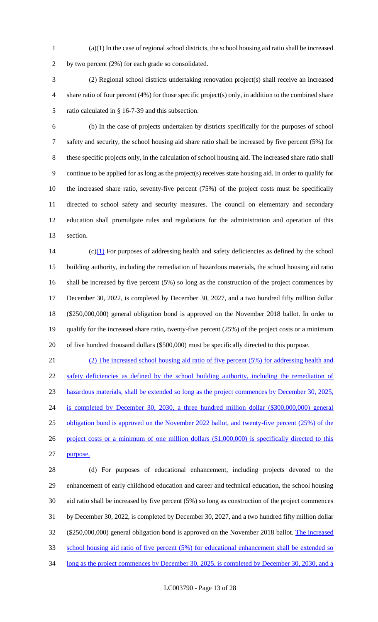(a)(1) In the case of regional school districts, the school housing aid ratio shall be increased by two percent (2%) for each grade so consolidated.

 (2) Regional school districts undertaking renovation project(s) shall receive an increased share ratio of four percent (4%) for those specific project(s) only, in addition to the combined share ratio calculated in § 16-7-39 and this subsection.

 (b) In the case of projects undertaken by districts specifically for the purposes of school safety and security, the school housing aid share ratio shall be increased by five percent (5%) for these specific projects only, in the calculation of school housing aid. The increased share ratio shall continue to be applied for as long as the project(s) receives state housing aid. In order to qualify for the increased share ratio, seventy-five percent (75%) of the project costs must be specifically directed to school safety and security measures. The council on elementary and secondary education shall promulgate rules and regulations for the administration and operation of this section.

14 (c) $(1)$  For purposes of addressing health and safety deficiencies as defined by the school building authority, including the remediation of hazardous materials, the school housing aid ratio shall be increased by five percent (5%) so long as the construction of the project commences by December 30, 2022, is completed by December 30, 2027, and a two hundred fifty million dollar (\$250,000,000) general obligation bond is approved on the November 2018 ballot. In order to qualify for the increased share ratio, twenty-five percent (25%) of the project costs or a minimum of five hundred thousand dollars (\$500,000) must be specifically directed to this purpose.

 (2) The increased school housing aid ratio of five percent (5%) for addressing health and 22 safety deficiencies as defined by the school building authority, including the remediation of hazardous materials, shall be extended so long as the project commences by December 30, 2025, is completed by December 30, 2030, a three hundred million dollar (\$300,000,000) general 25 obligation bond is approved on the November 2022 ballot, and twenty-five percent (25%) of the 26 project costs or a minimum of one million dollars (\$1,000,000) is specifically directed to this purpose.

 (d) For purposes of educational enhancement, including projects devoted to the enhancement of early childhood education and career and technical education, the school housing aid ratio shall be increased by five percent (5%) so long as construction of the project commences by December 30, 2022, is completed by December 30, 2027, and a two hundred fifty million dollar (\$250,000,000) general obligation bond is approved on the November 2018 ballot. The increased school housing aid ratio of five percent (5%) for educational enhancement shall be extended so 34 long as the project commences by December 30, 2025, is completed by December 30, 2030, and a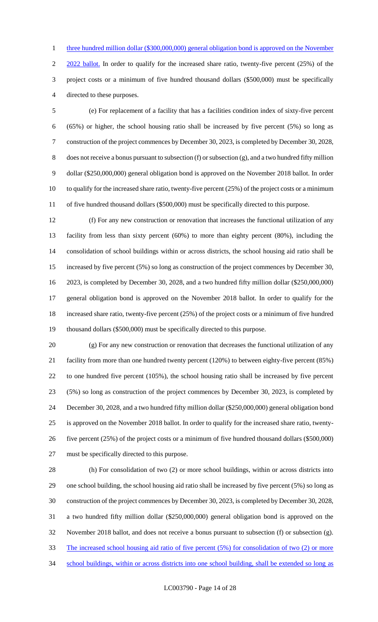1 three hundred million dollar (\$300,000,000) general obligation bond is approved on the November

2 2022 ballot. In order to qualify for the increased share ratio, twenty-five percent (25%) of the project costs or a minimum of five hundred thousand dollars (\$500,000) must be specifically directed to these purposes.

 (e) For replacement of a facility that has a facilities condition index of sixty-five percent (65%) or higher, the school housing ratio shall be increased by five percent (5%) so long as construction of the project commences by December 30, 2023, is completed by December 30, 2028, does not receive a bonus pursuant to subsection (f) or subsection (g), and a two hundred fifty million dollar (\$250,000,000) general obligation bond is approved on the November 2018 ballot. In order to qualify for the increased share ratio, twenty-five percent (25%) of the project costs or a minimum of five hundred thousand dollars (\$500,000) must be specifically directed to this purpose.

 (f) For any new construction or renovation that increases the functional utilization of any facility from less than sixty percent (60%) to more than eighty percent (80%), including the consolidation of school buildings within or across districts, the school housing aid ratio shall be increased by five percent (5%) so long as construction of the project commences by December 30, 2023, is completed by December 30, 2028, and a two hundred fifty million dollar (\$250,000,000) general obligation bond is approved on the November 2018 ballot. In order to qualify for the increased share ratio, twenty-five percent (25%) of the project costs or a minimum of five hundred thousand dollars (\$500,000) must be specifically directed to this purpose.

 (g) For any new construction or renovation that decreases the functional utilization of any facility from more than one hundred twenty percent (120%) to between eighty-five percent (85%) to one hundred five percent (105%), the school housing ratio shall be increased by five percent (5%) so long as construction of the project commences by December 30, 2023, is completed by December 30, 2028, and a two hundred fifty million dollar (\$250,000,000) general obligation bond is approved on the November 2018 ballot. In order to qualify for the increased share ratio, twenty- five percent (25%) of the project costs or a minimum of five hundred thousand dollars (\$500,000) must be specifically directed to this purpose.

 (h) For consolidation of two (2) or more school buildings, within or across districts into one school building, the school housing aid ratio shall be increased by five percent (5%) so long as construction of the project commences by December 30, 2023, is completed by December 30, 2028, a two hundred fifty million dollar (\$250,000,000) general obligation bond is approved on the November 2018 ballot, and does not receive a bonus pursuant to subsection (f) or subsection (g). The increased school housing aid ratio of five percent (5%) for consolidation of two (2) or more school buildings, within or across districts into one school building, shall be extended so long as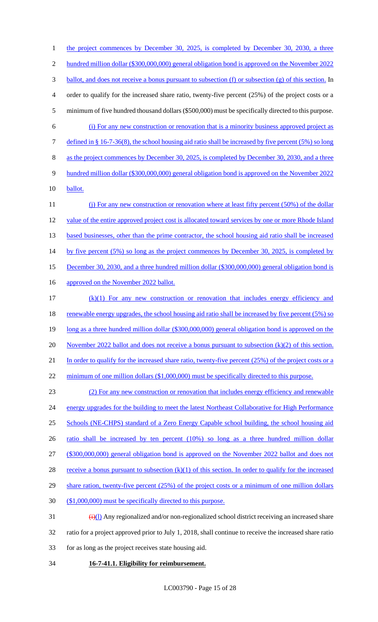1 the project commences by December 30, 2025, is completed by December 30, 2030, a three 2 hundred million dollar (\$300,000,000) general obligation bond is approved on the November 2022 3 ballot, and does not receive a bonus pursuant to subsection (f) or subsection (g) of this section. In 4 order to qualify for the increased share ratio, twenty-five percent (25%) of the project costs or a 5 minimum of five hundred thousand dollars (\$500,000) must be specifically directed to this purpose. 6 (i) For any new construction or renovation that is a minority business approved project as 7 defined in § 16-7-36(8), the school housing aid ratio shall be increased by five percent (5%) so long 8 as the project commences by December 30, 2025, is completed by December 30, 2030, and a three 9 hundred million dollar (\$300,000,000) general obligation bond is approved on the November 2022 10 ballot. 11 (j) For any new construction or renovation where at least fifty percent (50%) of the dollar 12 value of the entire approved project cost is allocated toward services by one or more Rhode Island 13 based businesses, other than the prime contractor, the school housing aid ratio shall be increased 14 by five percent (5%) so long as the project commences by December 30, 2025, is completed by 15 December 30, 2030, and a three hundred million dollar (\$300,000,000) general obligation bond is 16 approved on the November 2022 ballot. 17 (k)(1) For any new construction or renovation that includes energy efficiency and 18 renewable energy upgrades, the school housing aid ratio shall be increased by five percent (5%) so 19 long as a three hundred million dollar (\$300,000,000) general obligation bond is approved on the 20 November 2022 ballot and does not receive a bonus pursuant to subsection  $(k)(2)$  of this section. 21 In order to qualify for the increased share ratio, twenty-five percent (25%) of the project costs or a 22 minimum of one million dollars (\$1,000,000) must be specifically directed to this purpose. 23 (2) For any new construction or renovation that includes energy efficiency and renewable 24 energy upgrades for the building to meet the latest Northeast Collaborative for High Performance 25 Schools (NE-CHPS) standard of a Zero Energy Capable school building, the school housing aid 26 ratio shall be increased by ten percent (10%) so long as a three hundred million dollar 27 (\$300,000,000) general obligation bond is approved on the November 2022 ballot and does not 28 receive a bonus pursuant to subsection  $(k)(1)$  of this section. In order to qualify for the increased 29 share ration, twenty-five percent (25%) of the project costs or a minimum of one million dollars 30 (\$1,000,000) must be specifically directed to this purpose.  $\frac{1}{2}$  (i)(1) Any regionalized and/or non-regionalized school district receiving an increased share

- 32 ratio for a project approved prior to July 1, 2018, shall continue to receive the increased share ratio
- 33 for as long as the project receives state housing aid.
- 34 **16-7-41.1. Eligibility for reimbursement.**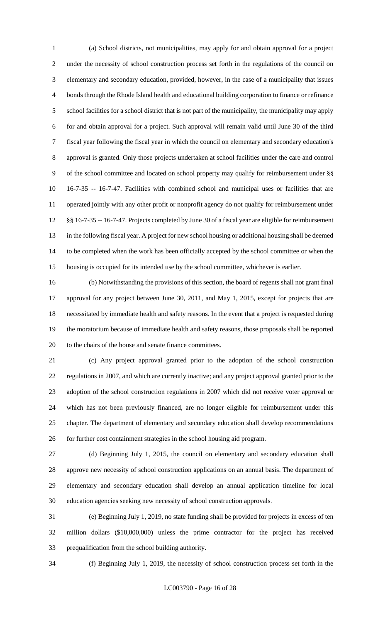(a) School districts, not municipalities, may apply for and obtain approval for a project under the necessity of school construction process set forth in the regulations of the council on elementary and secondary education, provided, however, in the case of a municipality that issues bonds through the Rhode Island health and educational building corporation to finance or refinance school facilities for a school district that is not part of the municipality, the municipality may apply for and obtain approval for a project. Such approval will remain valid until June 30 of the third fiscal year following the fiscal year in which the council on elementary and secondary education's approval is granted. Only those projects undertaken at school facilities under the care and control of the school committee and located on school property may qualify for reimbursement under §§ 16-7-35 -- 16-7-47. Facilities with combined school and municipal uses or facilities that are operated jointly with any other profit or nonprofit agency do not qualify for reimbursement under §§ 16-7-35 -- 16-7-47. Projects completed by June 30 of a fiscal year are eligible for reimbursement in the following fiscal year. A project for new school housing or additional housing shall be deemed to be completed when the work has been officially accepted by the school committee or when the housing is occupied for its intended use by the school committee, whichever is earlier.

 (b) Notwithstanding the provisions of this section, the board of regents shall not grant final approval for any project between June 30, 2011, and May 1, 2015, except for projects that are necessitated by immediate health and safety reasons. In the event that a project is requested during the moratorium because of immediate health and safety reasons, those proposals shall be reported to the chairs of the house and senate finance committees.

 (c) Any project approval granted prior to the adoption of the school construction regulations in 2007, and which are currently inactive; and any project approval granted prior to the adoption of the school construction regulations in 2007 which did not receive voter approval or which has not been previously financed, are no longer eligible for reimbursement under this chapter. The department of elementary and secondary education shall develop recommendations for further cost containment strategies in the school housing aid program.

 (d) Beginning July 1, 2015, the council on elementary and secondary education shall approve new necessity of school construction applications on an annual basis. The department of elementary and secondary education shall develop an annual application timeline for local education agencies seeking new necessity of school construction approvals.

 (e) Beginning July 1, 2019, no state funding shall be provided for projects in excess of ten million dollars (\$10,000,000) unless the prime contractor for the project has received prequalification from the school building authority.

(f) Beginning July 1, 2019, the necessity of school construction process set forth in the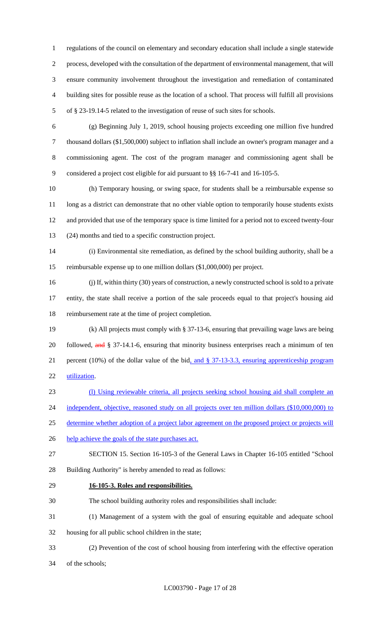regulations of the council on elementary and secondary education shall include a single statewide process, developed with the consultation of the department of environmental management, that will ensure community involvement throughout the investigation and remediation of contaminated building sites for possible reuse as the location of a school. That process will fulfill all provisions of § 23-19.14-5 related to the investigation of reuse of such sites for schools.

 (g) Beginning July 1, 2019, school housing projects exceeding one million five hundred thousand dollars (\$1,500,000) subject to inflation shall include an owner's program manager and a commissioning agent. The cost of the program manager and commissioning agent shall be considered a project cost eligible for aid pursuant to §§ 16-7-41 and 16-105-5.

 (h) Temporary housing, or swing space, for students shall be a reimbursable expense so 11 long as a district can demonstrate that no other viable option to temporarily house students exists and provided that use of the temporary space is time limited for a period not to exceed twenty-four (24) months and tied to a specific construction project.

 (i) Environmental site remediation, as defined by the school building authority, shall be a reimbursable expense up to one million dollars (\$1,000,000) per project.

 (j) If, within thirty (30) years of construction, a newly constructed school is sold to a private entity, the state shall receive a portion of the sale proceeds equal to that project's housing aid reimbursement rate at the time of project completion.

 (k) All projects must comply with § 37-13-6, ensuring that prevailing wage laws are being 20 followed, and § 37-14.1-6, ensuring that minority business enterprises reach a minimum of ten percent (10%) of the dollar value of the bid, and § 37-13-3.3, ensuring apprenticeship program utilization.

(l) Using reviewable criteria, all projects seeking school housing aid shall complete an

24 independent, objective, reasoned study on all projects over ten million dollars (\$10,000,000) to

25 determine whether adoption of a project labor agreement on the proposed project or projects will

26 help achieve the goals of the state purchases act.

 SECTION 15. Section 16-105-3 of the General Laws in Chapter 16-105 entitled "School Building Authority" is hereby amended to read as follows:

- **16-105-3. Roles and responsibilities.**
- The school building authority roles and responsibilities shall include:

(1) Management of a system with the goal of ensuring equitable and adequate school

housing for all public school children in the state;

(2) Prevention of the cost of school housing from interfering with the effective operation

of the schools;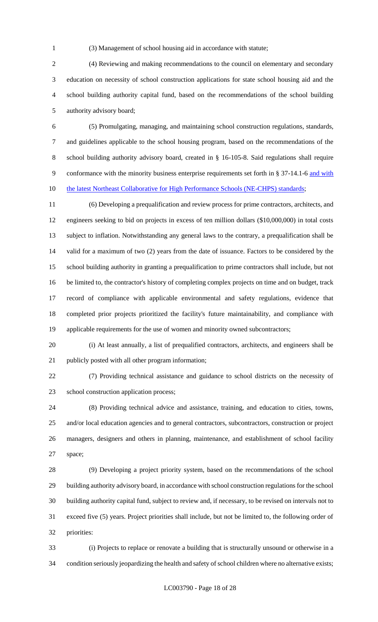(3) Management of school housing aid in accordance with statute;

 (4) Reviewing and making recommendations to the council on elementary and secondary education on necessity of school construction applications for state school housing aid and the school building authority capital fund, based on the recommendations of the school building authority advisory board;

 (5) Promulgating, managing, and maintaining school construction regulations, standards, and guidelines applicable to the school housing program, based on the recommendations of the school building authority advisory board, created in § 16-105-8. Said regulations shall require 9 conformance with the minority business enterprise requirements set forth in § 37-14.1-6 and with 10 the latest Northeast Collaborative for High Performance Schools (NE-CHPS) standards;

 (6) Developing a prequalification and review process for prime contractors, architects, and engineers seeking to bid on projects in excess of ten million dollars (\$10,000,000) in total costs subject to inflation. Notwithstanding any general laws to the contrary, a prequalification shall be valid for a maximum of two (2) years from the date of issuance. Factors to be considered by the school building authority in granting a prequalification to prime contractors shall include, but not be limited to, the contractor's history of completing complex projects on time and on budget, track record of compliance with applicable environmental and safety regulations, evidence that completed prior projects prioritized the facility's future maintainability, and compliance with applicable requirements for the use of women and minority owned subcontractors;

 (i) At least annually, a list of prequalified contractors, architects, and engineers shall be 21 publicly posted with all other program information;

 (7) Providing technical assistance and guidance to school districts on the necessity of school construction application process;

 (8) Providing technical advice and assistance, training, and education to cities, towns, and/or local education agencies and to general contractors, subcontractors, construction or project managers, designers and others in planning, maintenance, and establishment of school facility space;

 (9) Developing a project priority system, based on the recommendations of the school building authority advisory board, in accordance with school construction regulations for the school building authority capital fund, subject to review and, if necessary, to be revised on intervals not to exceed five (5) years. Project priorities shall include, but not be limited to, the following order of priorities:

 (i) Projects to replace or renovate a building that is structurally unsound or otherwise in a condition seriously jeopardizing the health and safety of school children where no alternative exists;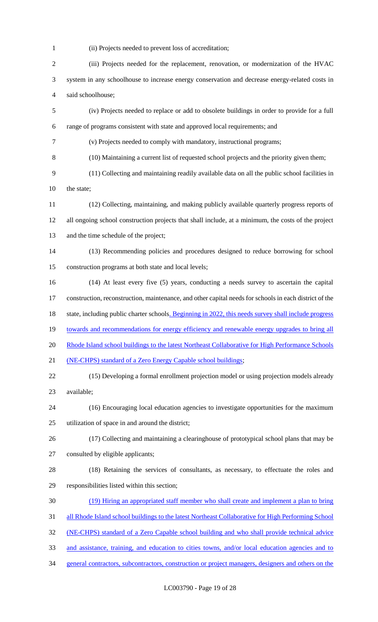(ii) Projects needed to prevent loss of accreditation;

| $\mathfrak{2}$           | (iii) Projects needed for the replacement, renovation, or modernization of the HVAC                    |
|--------------------------|--------------------------------------------------------------------------------------------------------|
| 3                        | system in any schoolhouse to increase energy conservation and decrease energy-related costs in         |
| $\overline{\mathcal{A}}$ | said schoolhouse;                                                                                      |
| 5                        | (iv) Projects needed to replace or add to obsolete buildings in order to provide for a full            |
| 6                        | range of programs consistent with state and approved local requirements; and                           |
| $\tau$                   | (v) Projects needed to comply with mandatory, instructional programs;                                  |
| $8\,$                    | (10) Maintaining a current list of requested school projects and the priority given them;              |
| 9                        | (11) Collecting and maintaining readily available data on all the public school facilities in          |
| 10                       | the state;                                                                                             |
| 11                       | (12) Collecting, maintaining, and making publicly available quarterly progress reports of              |
| 12                       | all ongoing school construction projects that shall include, at a minimum, the costs of the project    |
| 13                       | and the time schedule of the project;                                                                  |
| 14                       | (13) Recommending policies and procedures designed to reduce borrowing for school                      |
| 15                       | construction programs at both state and local levels;                                                  |
| 16                       | (14) At least every five (5) years, conducting a needs survey to ascertain the capital                 |
| 17                       | construction, reconstruction, maintenance, and other capital needs for schools in each district of the |
| 18                       | state, including public charter schools. Beginning in 2022, this needs survey shall include progress   |
| 19                       | towards and recommendations for energy efficiency and renewable energy upgrades to bring all           |
| 20                       | Rhode Island school buildings to the latest Northeast Collaborative for High Performance Schools       |
| 21                       | (NE-CHPS) standard of a Zero Energy Capable school buildings;                                          |
| 22                       | (15) Developing a formal enrollment projection model or using projection models already                |
| 23                       | available;                                                                                             |
| 24                       | (16) Encouraging local education agencies to investigate opportunities for the maximum                 |
| 25                       | utilization of space in and around the district;                                                       |
| 26                       | (17) Collecting and maintaining a clearinghouse of prototypical school plans that may be               |
| 27                       | consulted by eligible applicants;                                                                      |
| 28                       | (18) Retaining the services of consultants, as necessary, to effectuate the roles and                  |
| 29                       | responsibilities listed within this section;                                                           |
| 30                       | (19) Hiring an appropriated staff member who shall create and implement a plan to bring                |
| 31                       | all Rhode Island school buildings to the latest Northeast Collaborative for High Performing School     |
| 32                       | (NE-CHPS) standard of a Zero Capable school building and who shall provide technical advice            |
| 33                       | and assistance, training, and education to cities towns, and/or local education agencies and to        |
| 34                       | general contractors, subcontractors, construction or project managers, designers and others on the     |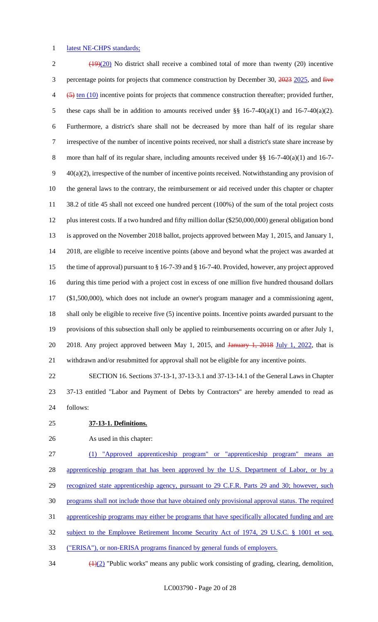### 1 latest NE-CHPS standards;

 $2 \left( \frac{(19)(20)}{2} \right)$  No district shall receive a combined total of more than twenty (20) incentive 3 percentage points for projects that commence construction by December 30, 2023 2025, and five  $\overline{4}$  ( $\overline{5}$ ) ten (10) incentive points for projects that commence construction thereafter; provided further, these caps shall be in addition to amounts received under §§ 16-7-40(a)(1) and 16-7-40(a)(2). Furthermore, a district's share shall not be decreased by more than half of its regular share irrespective of the number of incentive points received, nor shall a district's state share increase by 8 more than half of its regular share, including amounts received under §§ 16-7-40(a)(1) and 16-7- 40(a)(2), irrespective of the number of incentive points received. Notwithstanding any provision of the general laws to the contrary, the reimbursement or aid received under this chapter or chapter 38.2 of title 45 shall not exceed one hundred percent (100%) of the sum of the total project costs plus interest costs. If a two hundred and fifty million dollar (\$250,000,000) general obligation bond is approved on the November 2018 ballot, projects approved between May 1, 2015, and January 1, 2018, are eligible to receive incentive points (above and beyond what the project was awarded at the time of approval) pursuant to § 16-7-39 and § 16-7-40. Provided, however, any project approved during this time period with a project cost in excess of one million five hundred thousand dollars (\$1,500,000), which does not include an owner's program manager and a commissioning agent, shall only be eligible to receive five (5) incentive points. Incentive points awarded pursuant to the provisions of this subsection shall only be applied to reimbursements occurring on or after July 1, 20 2018. Any project approved between May 1, 2015, and January 1, 2018 July 1, 2022, that is withdrawn and/or resubmitted for approval shall not be eligible for any incentive points.

 SECTION 16. Sections 37-13-1, 37-13-3.1 and 37-13-14.1 of the General Laws in Chapter 37-13 entitled "Labor and Payment of Debts by Contractors" are hereby amended to read as follows:

# **37-13-1. Definitions.**

As used in this chapter:

 (1) "Approved apprenticeship program" or "apprenticeship program" means an 28 apprenticeship program that has been approved by the U.S. Department of Labor, or by a 29 recognized state apprenticeship agency, pursuant to 29 C.F.R. Parts 29 and 30; however, such programs shall not include those that have obtained only provisional approval status. The required

apprenticeship programs may either be programs that have specifically allocated funding and are

subject to the Employee Retirement Income Security Act of 1974, 29 U.S.C. § 1001 et seq.

("ERISA"), or non-ERISA programs financed by general funds of employers.

 $\frac{(1)(2)}{2}$  "Public works" means any public work consisting of grading, clearing, demolition,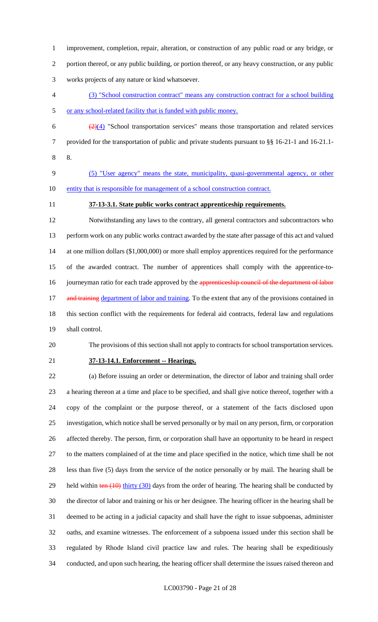improvement, completion, repair, alteration, or construction of any public road or any bridge, or portion thereof, or any public building, or portion thereof, or any heavy construction, or any public works projects of any nature or kind whatsoever.

- (3) "School construction contract" means any construction contract for a school building or any school-related facility that is funded with public money.
- $\frac{(2)(4)}{2}$  "School transportation services" means those transportation and related services provided for the transportation of public and private students pursuant to §§ 16-21-1 and 16-21.1- 8.
- (5) "User agency" means the state, municipality, quasi-governmental agency, or other 10 entity that is responsible for management of a school construction contract.
- 

# **37-13-3.1. State public works contract apprenticeship requirements.**

 Notwithstanding any laws to the contrary, all general contractors and subcontractors who perform work on any public works contract awarded by the state after passage of this act and valued at one million dollars (\$1,000,000) or more shall employ apprentices required for the performance of the awarded contract. The number of apprentices shall comply with the apprentice-to-16 journeyman ratio for each trade approved by the apprenticeship council of the department of labor 17 and training department of labor and training. To the extent that any of the provisions contained in this section conflict with the requirements for federal aid contracts, federal law and regulations shall control.

# The provisions of this section shall not apply to contracts for school transportation services.

# **37-13-14.1. Enforcement -- Hearings.**

 (a) Before issuing an order or determination, the director of labor and training shall order a hearing thereon at a time and place to be specified, and shall give notice thereof, together with a copy of the complaint or the purpose thereof, or a statement of the facts disclosed upon investigation, which notice shall be served personally or by mail on any person, firm, or corporation affected thereby. The person, firm, or corporation shall have an opportunity to be heard in respect to the matters complained of at the time and place specified in the notice, which time shall be not less than five (5) days from the service of the notice personally or by mail. The hearing shall be 29 held within ten (10) thirty (30) days from the order of hearing. The hearing shall be conducted by the director of labor and training or his or her designee. The hearing officer in the hearing shall be deemed to be acting in a judicial capacity and shall have the right to issue subpoenas, administer oaths, and examine witnesses. The enforcement of a subpoena issued under this section shall be regulated by Rhode Island civil practice law and rules. The hearing shall be expeditiously conducted, and upon such hearing, the hearing officer shall determine the issues raised thereon and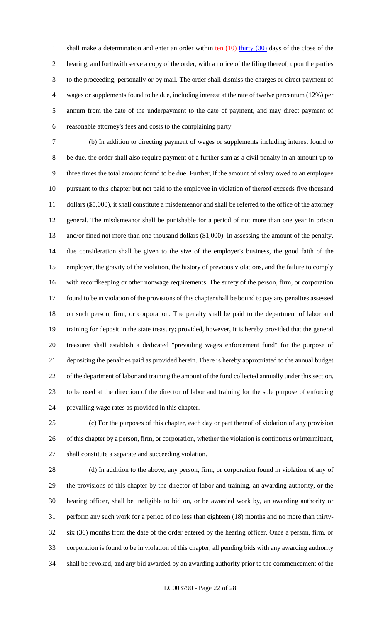1 shall make a determination and enter an order within  $\frac{\tan(10)}{\tan(10)}$  thirty (30) days of the close of the hearing, and forthwith serve a copy of the order, with a notice of the filing thereof, upon the parties to the proceeding, personally or by mail. The order shall dismiss the charges or direct payment of wages or supplements found to be due, including interest at the rate of twelve percentum (12%) per annum from the date of the underpayment to the date of payment, and may direct payment of reasonable attorney's fees and costs to the complaining party.

 (b) In addition to directing payment of wages or supplements including interest found to be due, the order shall also require payment of a further sum as a civil penalty in an amount up to three times the total amount found to be due. Further, if the amount of salary owed to an employee pursuant to this chapter but not paid to the employee in violation of thereof exceeds five thousand 11 dollars (\$5,000), it shall constitute a misdemeanor and shall be referred to the office of the attorney general. The misdemeanor shall be punishable for a period of not more than one year in prison and/or fined not more than one thousand dollars (\$1,000). In assessing the amount of the penalty, due consideration shall be given to the size of the employer's business, the good faith of the employer, the gravity of the violation, the history of previous violations, and the failure to comply with recordkeeping or other nonwage requirements. The surety of the person, firm, or corporation found to be in violation of the provisions of this chapter shall be bound to pay any penalties assessed on such person, firm, or corporation. The penalty shall be paid to the department of labor and training for deposit in the state treasury; provided, however, it is hereby provided that the general treasurer shall establish a dedicated "prevailing wages enforcement fund" for the purpose of depositing the penalties paid as provided herein. There is hereby appropriated to the annual budget of the department of labor and training the amount of the fund collected annually under this section, to be used at the direction of the director of labor and training for the sole purpose of enforcing prevailing wage rates as provided in this chapter.

 (c) For the purposes of this chapter, each day or part thereof of violation of any provision of this chapter by a person, firm, or corporation, whether the violation is continuous or intermittent, shall constitute a separate and succeeding violation.

 (d) In addition to the above, any person, firm, or corporation found in violation of any of the provisions of this chapter by the director of labor and training, an awarding authority, or the hearing officer, shall be ineligible to bid on, or be awarded work by, an awarding authority or perform any such work for a period of no less than eighteen (18) months and no more than thirty- six (36) months from the date of the order entered by the hearing officer. Once a person, firm, or corporation is found to be in violation of this chapter, all pending bids with any awarding authority shall be revoked, and any bid awarded by an awarding authority prior to the commencement of the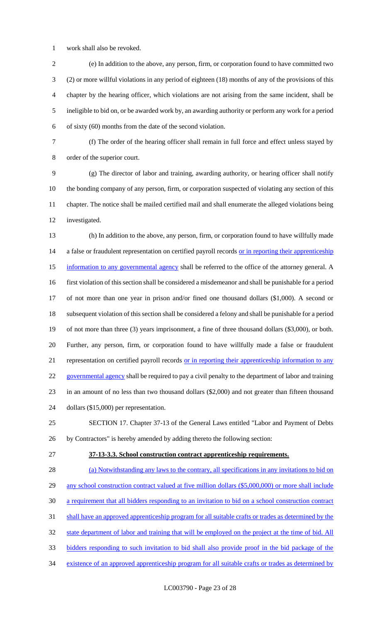work shall also be revoked.

 (e) In addition to the above, any person, firm, or corporation found to have committed two (2) or more willful violations in any period of eighteen (18) months of any of the provisions of this chapter by the hearing officer, which violations are not arising from the same incident, shall be ineligible to bid on, or be awarded work by, an awarding authority or perform any work for a period of sixty (60) months from the date of the second violation.

 (f) The order of the hearing officer shall remain in full force and effect unless stayed by order of the superior court.

 (g) The director of labor and training, awarding authority, or hearing officer shall notify the bonding company of any person, firm, or corporation suspected of violating any section of this chapter. The notice shall be mailed certified mail and shall enumerate the alleged violations being investigated.

 (h) In addition to the above, any person, firm, or corporation found to have willfully made 14 a false or fraudulent representation on certified payroll records or in reporting their apprenticeship 15 information to any governmental agency shall be referred to the office of the attorney general. A first violation of this section shall be considered a misdemeanor and shall be punishable for a period of not more than one year in prison and/or fined one thousand dollars (\$1,000). A second or subsequent violation of this section shall be considered a felony and shall be punishable for a period of not more than three (3) years imprisonment, a fine of three thousand dollars (\$3,000), or both. Further, any person, firm, or corporation found to have willfully made a false or fraudulent 21 representation on certified payroll records <u>or in reporting their apprenticeship information to any</u> 22 governmental agency shall be required to pay a civil penalty to the department of labor and training in an amount of no less than two thousand dollars (\$2,000) and not greater than fifteen thousand dollars (\$15,000) per representation.

 SECTION 17. Chapter 37-13 of the General Laws entitled "Labor and Payment of Debts by Contractors" is hereby amended by adding thereto the following section:

**37-13-3.3. School construction contract apprenticeship requirements.** 

 (a) Notwithstanding any laws to the contrary, all specifications in any invitations to bid on 29 any school construction contract valued at five million dollars (\$5,000,000) or more shall include a requirement that all bidders responding to an invitation to bid on a school construction contract shall have an approved apprenticeship program for all suitable crafts or trades as determined by the 32 state department of labor and training that will be employed on the project at the time of bid. All bidders responding to such invitation to bid shall also provide proof in the bid package of the existence of an approved apprenticeship program for all suitable crafts or trades as determined by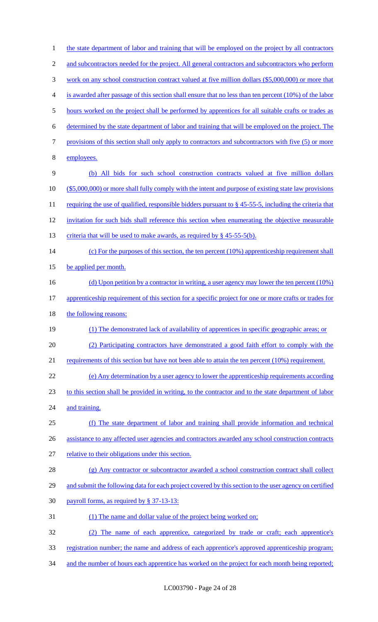| $\mathbf{1}$   | the state department of labor and training that will be employed on the project by all contractors        |
|----------------|-----------------------------------------------------------------------------------------------------------|
| $\overline{c}$ | and subcontractors needed for the project. All general contractors and subcontractors who perform         |
| 3              | work on any school construction contract valued at five million dollars (\$5,000,000) or more that        |
| 4              | is awarded after passage of this section shall ensure that no less than ten percent (10%) of the labor    |
| 5              | hours worked on the project shall be performed by apprentices for all suitable crafts or trades as        |
| 6              | determined by the state department of labor and training that will be employed on the project. The        |
| 7              | provisions of this section shall only apply to contractors and subcontractors with five (5) or more       |
| 8              | employees.                                                                                                |
| 9              | (b) All bids for such school construction contracts valued at five million dollars                        |
| 10             | (\$5,000,000) or more shall fully comply with the intent and purpose of existing state law provisions     |
| 11             | requiring the use of qualified, responsible bidders pursuant to $\S$ 45-55-5, including the criteria that |
| 12             | invitation for such bids shall reference this section when enumerating the objective measurable           |
| 13             | criteria that will be used to make awards, as required by § 45-55-5(b).                                   |
| 14             | (c) For the purposes of this section, the ten percent $(10\%)$ apprenticeship requirement shall           |
| 15             | be applied per month.                                                                                     |
| 16             | (d) Upon petition by a contractor in writing, a user agency may lower the ten percent $(10\%)$            |
| 17             | apprenticeship requirement of this section for a specific project for one or more crafts or trades for    |
| 18             | the following reasons:                                                                                    |
| 19             | (1) The demonstrated lack of availability of apprentices in specific geographic areas; or                 |
| 20             | (2) Participating contractors have demonstrated a good faith effort to comply with the                    |
| 21             | requirements of this section but have not been able to attain the ten percent $(10\%)$ requirement.       |
| 22             | (e) Any determination by a user agency to lower the apprenticeship requirements according                 |
| 23             |                                                                                                           |
|                | to this section shall be provided in writing, to the contractor and to the state department of labor      |
| 24             | and training.                                                                                             |
| 25             | (f) The state department of labor and training shall provide information and technical                    |
| 26             | assistance to any affected user agencies and contractors awarded any school construction contracts        |
| 27             | relative to their obligations under this section.                                                         |
| 28             | (g) Any contractor or subcontractor awarded a school construction contract shall collect                  |
| 29             | and submit the following data for each project covered by this section to the user agency on certified    |
| 30             | payroll forms, as required by § 37-13-13:                                                                 |
| 31             | (1) The name and dollar value of the project being worked on:                                             |
| 32             | The name of each apprentice, categorized by trade or craft; each apprentice's<br>(2)                      |
| 33             | registration number; the name and address of each apprentice's approved apprenticeship program;           |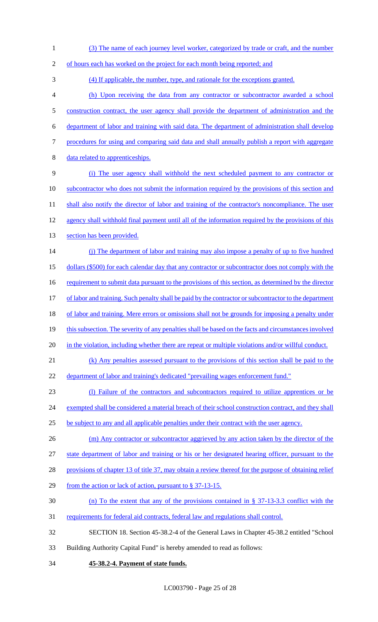- 1 (3) The name of each journey level worker, categorized by trade or craft, and the number
- 2 of hours each has worked on the project for each month being reported; and

3 (4) If applicable, the number, type, and rationale for the exceptions granted.

- 4 (h) Upon receiving the data from any contractor or subcontractor awarded a school 5 construction contract, the user agency shall provide the department of administration and the 6 department of labor and training with said data. The department of administration shall develop 7 procedures for using and comparing said data and shall annually publish a report with aggregate 8 data related to apprenticeships. 9 (i) The user agency shall withhold the next scheduled payment to any contractor or
- 10 subcontractor who does not submit the information required by the provisions of this section and 11 shall also notify the director of labor and training of the contractor's noncompliance. The user 12 agency shall withhold final payment until all of the information required by the provisions of this 13 section has been provided.
- 14 (j) The department of labor and training may also impose a penalty of up to five hundred 15 dollars (\$500) for each calendar day that any contractor or subcontractor does not comply with the 16 requirement to submit data pursuant to the provisions of this section, as determined by the director 17 of labor and training. Such penalty shall be paid by the contractor or subcontractor to the department 18 of labor and training. Mere errors or omissions shall not be grounds for imposing a penalty under 19 this subsection. The severity of any penalties shall be based on the facts and circumstances involved
- 20 in the violation, including whether there are repeat or multiple violations and/or willful conduct.
- 21 (k) Any penalties assessed pursuant to the provisions of this section shall be paid to the
- 22 department of labor and training's dedicated "prevailing wages enforcement fund."
- 23 (l) Failure of the contractors and subcontractors required to utilize apprentices or be
- 24 exempted shall be considered a material breach of their school construction contract, and they shall
- 25 be subject to any and all applicable penalties under their contract with the user agency.
- 26 (m) Any contractor or subcontractor aggrieved by any action taken by the director of the

27 state department of labor and training or his or her designated hearing officer, pursuant to the

- 28 provisions of chapter 13 of title 37, may obtain a review thereof for the purpose of obtaining relief
- 29 from the action or lack of action, pursuant to § 37-13-15.
- 30 (n) To the extent that any of the provisions contained in § 37-13-3.3 conflict with the
- 31 requirements for federal aid contracts, federal law and regulations shall control.
- 32 SECTION 18. Section 45-38.2-4 of the General Laws in Chapter 45-38.2 entitled "School
- 33 Building Authority Capital Fund" is hereby amended to read as follows:
- 34 **45-38.2-4. Payment of state funds.**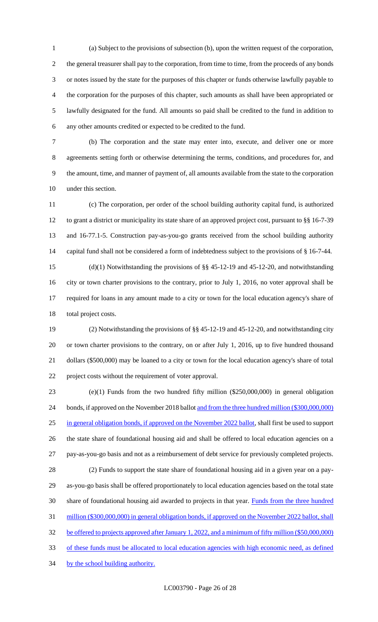(a) Subject to the provisions of subsection (b), upon the written request of the corporation, the general treasurer shall pay to the corporation, from time to time, from the proceeds of any bonds or notes issued by the state for the purposes of this chapter or funds otherwise lawfully payable to the corporation for the purposes of this chapter, such amounts as shall have been appropriated or lawfully designated for the fund. All amounts so paid shall be credited to the fund in addition to any other amounts credited or expected to be credited to the fund.

 (b) The corporation and the state may enter into, execute, and deliver one or more agreements setting forth or otherwise determining the terms, conditions, and procedures for, and the amount, time, and manner of payment of, all amounts available from the state to the corporation under this section.

 (c) The corporation, per order of the school building authority capital fund, is authorized to grant a district or municipality its state share of an approved project cost, pursuant to §§ 16-7-39 and 16-77.1-5. Construction pay-as-you-go grants received from the school building authority capital fund shall not be considered a form of indebtedness subject to the provisions of § 16-7-44.

 (d)(1) Notwithstanding the provisions of §§ 45-12-19 and 45-12-20, and notwithstanding city or town charter provisions to the contrary, prior to July 1, 2016, no voter approval shall be required for loans in any amount made to a city or town for the local education agency's share of total project costs.

 (2) Notwithstanding the provisions of §§ 45-12-19 and 45-12-20, and notwithstanding city or town charter provisions to the contrary, on or after July 1, 2016, up to five hundred thousand dollars (\$500,000) may be loaned to a city or town for the local education agency's share of total project costs without the requirement of voter approval.

 (e)(1) Funds from the two hundred fifty million (\$250,000,000) in general obligation 24 bonds, if approved on the November 2018 ballot and from the three hundred million (\$300,000,000) in general obligation bonds, if approved on the November 2022 ballot, shall first be used to support the state share of foundational housing aid and shall be offered to local education agencies on a pay-as-you-go basis and not as a reimbursement of debt service for previously completed projects. (2) Funds to support the state share of foundational housing aid in a given year on a pay- as-you-go basis shall be offered proportionately to local education agencies based on the total state share of foundational housing aid awarded to projects in that year. Funds from the three hundred 31 million (\$300,000,000) in general obligation bonds, if approved on the November 2022 ballot, shall be offered to projects approved after January 1, 2022, and a minimum of fifty million (\$50,000,000) of these funds must be allocated to local education agencies with high economic need, as defined

34 by the school building authority.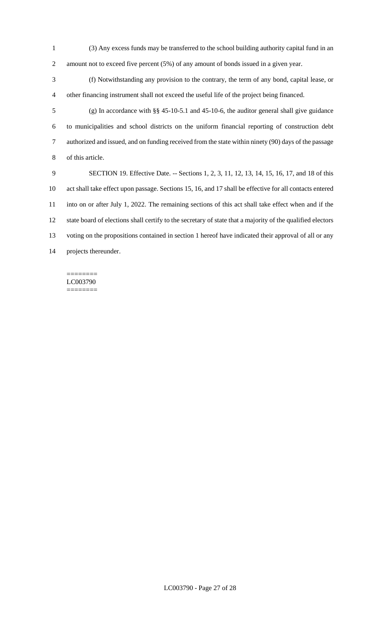(3) Any excess funds may be transferred to the school building authority capital fund in an amount not to exceed five percent (5%) of any amount of bonds issued in a given year.

 (f) Notwithstanding any provision to the contrary, the term of any bond, capital lease, or other financing instrument shall not exceed the useful life of the project being financed.

 (g) In accordance with §§ 45-10-5.1 and 45-10-6, the auditor general shall give guidance to municipalities and school districts on the uniform financial reporting of construction debt authorized and issued, and on funding received from the state within ninety (90) days of the passage of this article.

 SECTION 19. Effective Date. -- Sections 1, 2, 3, 11, 12, 13, 14, 15, 16, 17, and 18 of this act shall take effect upon passage. Sections 15, 16, and 17 shall be effective for all contacts entered into on or after July 1, 2022. The remaining sections of this act shall take effect when and if the state board of elections shall certify to the secretary of state that a majority of the qualified electors voting on the propositions contained in section 1 hereof have indicated their approval of all or any projects thereunder.

#### ======== LC003790 ========

LC003790 - Page 27 of 28